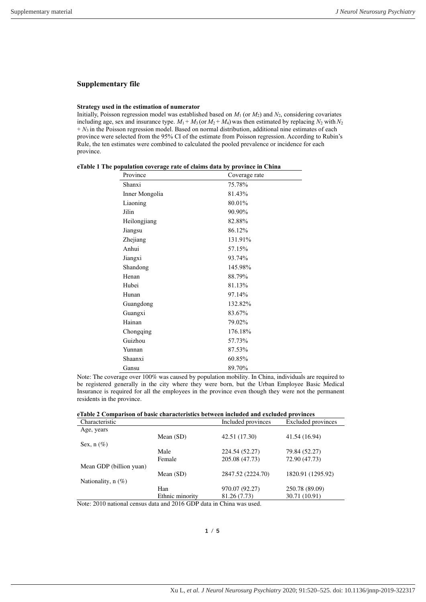## **Supplementary file**

## **Strategy used in the estimation of numerator**

Initially, Poisson regression model was established based on  $M_1$  (or  $M_2$ ) and  $N_2$ , considering covariates including age, sex and insurance type.  $M_1 + M_3$  (or  $M_2 + M_4$ ) was then estimated by replacing  $N_2$  with  $N_2$  $+N_3$  in the Poisson regression model. Based on normal distribution, additional nine estimates of each province were selected from the 95% CI of the estimate from Poisson regression. According to Rubin's Rule, the ten estimates were combined to calculated the pooled prevalence or incidence for each province.

|  |  |  |  | eTable 1 The population coverage rate of claims data by province in China |  |  |  |
|--|--|--|--|---------------------------------------------------------------------------|--|--|--|
|--|--|--|--|---------------------------------------------------------------------------|--|--|--|

| Province       | Coverage rate |
|----------------|---------------|
| Shanxi         | 75.78%        |
| Inner Mongolia | 81.43%        |
| Liaoning       | 80.01%        |
| Jilin          | 90.90%        |
| Heilongjiang   | 82.88%        |
| Jiangsu        | 86.12%        |
| Zhejiang       | 131.91%       |
| Anhui          | 57.15%        |
| Jiangxi        | 93.74%        |
| Shandong       | 145.98%       |
| Henan          | 88.79%        |
| Hubei          | 81.13%        |
| Hunan          | 97.14%        |
| Guangdong      | 132.82%       |
| Guangxi        | 83.67%        |
| Hainan         | 79.02%        |
| Chongqing      | 176.18%       |
| Guizhou        | 57.73%        |
| Yunnan         | 87.53%        |
| Shaanxi        | 60.85%        |
| Gansu          | 89.70%        |

Note: The coverage over 100% was caused by population mobility. In China, individuals are required to be registered generally in the city where they were born, but the Urban Employee Basic Medical Insurance is required for all the employees in the province even though they were not the permanent residents in the province.

**eTable 2 Comparison of basic characteristics between included and excluded provinces**

| Characteristic          |                 | Included provinces | Excluded provinces |
|-------------------------|-----------------|--------------------|--------------------|
| Age, years              |                 |                    |                    |
|                         | Mean $(SD)$     | 42.51 (17.30)      | 41.54 (16.94)      |
| Sex, $n(\%)$            |                 |                    |                    |
|                         | Male            | 224.54 (52.27)     | 79.84 (52.27)      |
|                         | Female          | 205.08 (47.73)     | 72.90 (47.73)      |
| Mean GDP (billion yuan) |                 |                    |                    |
|                         | Mean $(SD)$     | 2847.52 (2224.70)  | 1820.91 (1295.92)  |
| Nationality, $n$ (%)    |                 |                    |                    |
|                         | Han             | 970.07 (92.27)     | 250.78 (89.09)     |
|                         | Ethnic minority | 81.26 (7.73)       | 30.71 (10.91)      |

Note: 2010 national census data and 2016 GDP data in China was used.

**1** / **5**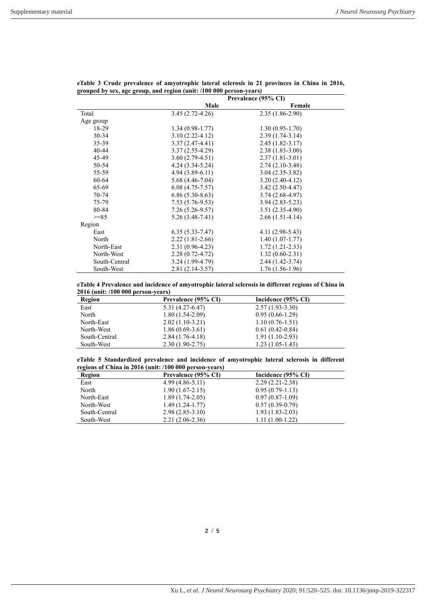|               |                     | Prevalence (95% CI) |  |
|---------------|---------------------|---------------------|--|
|               | Male                | Female              |  |
| Total         | $3.45(2.72 - 4.26)$ | $2.35(1.86-2.90)$   |  |
| Age group     |                     |                     |  |
| 18-29         | $1.34(0.98-1.77)$   | $1.30(0.95 - 1.70)$ |  |
| $30 - 34$     | $3.10(2.22 - 4.12)$ | $2.39(1.74-3.14)$   |  |
| 35-39         | $3.37(2.47-4.41)$   | $2.45(1.82 - 3.17)$ |  |
| $40 - 44$     | $3.37(2.55-4.29)$   | $2.38(1.83-3.00)$   |  |
| 45-49         | $3.60(2.79-4.51)$   | $2.37(1.81-3.01)$   |  |
| 50-54         | $4.24(3.34-5.24)$   | $2.74(2.10-3.48)$   |  |
| 55-59         | $4.94(3.89-6.11)$   | $3.04(2.35-3.82)$   |  |
| 60-64         | $5.68(4.46-7.04)$   | $3.20(2.40-4.12)$   |  |
| 65-69         | $6.08(4.75-7.57)$   | $3.42(2.50-4.47)$   |  |
| 70-74         | $6.86(5.30-8.63)$   | $3.74(2.68-4.97)$   |  |
| 75-79         | $7.53(5.76-9.53)$   | $3.94(2.83 - 5.23)$ |  |
| 80-84         | $7.26(5.26-9.57)$   | $3.51(2.35-4.90)$   |  |
| $>= 85$       | $5.26(3.48-7.41)$   | $2.66(1.51-4.14)$   |  |
| Region        |                     |                     |  |
| East          | $6.35(5.33 - 7.47)$ | $4.11(2.98-5.43)$   |  |
| North         | $2.22(1.81-2.66)$   | $1.40(1.07-1.77)$   |  |
| North-East    | $2.31(0.96-4.23)$   | $1.72(1.21 - 2.33)$ |  |
| North-West    | $2.28(0.72 - 4.72)$ | $1.32(0.60-2.31)$   |  |
| South-Central | $3.24(1.99-4.79)$   | $2.44(1.42-3.74)$   |  |
| South-West    | 2.81 (2.14-3.57)    | $1.76(1.56-1.96)$   |  |

**eTable 3 Crude prevalence of amyotrophic lateral sclerosis in 21 provinces in China in 2016, grouped by sex, age group, and region (unit: /100 000 person-years)**

**eTable 4 Prevalence and incidence of amyotrophic lateral sclerosis in different regions of China in 2016 (unit: /100 000 person-years)**

| Region        | Prevalence (95% CI) | Incidence (95% CI) |  |
|---------------|---------------------|--------------------|--|
| East          | 5.31 (4.27-6.47)    | $2.57(1.93-3.30)$  |  |
| North         | $1.80(1.54-2.09)$   | $0.95(0.66-1.29)$  |  |
| North-East    | $2.02(1.10-3.21)$   | $1.10(0.76-1.51)$  |  |
| North-West    | $1.86(0.69-3.61)$   | $0.61(0.42-0.84)$  |  |
| South-Central | $2.84(1.76-4.18)$   | $1.91(1.10-2.93)$  |  |
| South-West    | $2.30(1.90-2.75)$   | $1.23(1.05-1.43)$  |  |

| eTable 5 Standardized prevalence and incidence of amyotrophic lateral sclerosis in different |  |  |  |  |
|----------------------------------------------------------------------------------------------|--|--|--|--|
| regions of China in 2016 (unit: /100 000 person-years)                                       |  |  |  |  |

| Region        | Prevalence (95% CI) | Incidence (95% CI) |  |
|---------------|---------------------|--------------------|--|
| East          | $4.99(4.86-5.11)$   | $2.29(2.21-2.38)$  |  |
| North         | $1.90(1.67-2.15)$   | $0.95(0.79-1.13)$  |  |
| North-East    | $1.89(1.74-2.05)$   | $0.97(0.87-1.09)$  |  |
| North-West    | $1.49(1.24-1.77)$   | $0.57(0.39-0.79)$  |  |
| South-Central | $2.98(2.85-3.10)$   | $1.93(1.83-2.03)$  |  |
| South-West    | $2.21(2.06-2.36)$   | $1.11(1.00-1.22)$  |  |

Xu L*, et al. J Neurol Neurosurg Psychiatry* 2020; 91:520–525. doi: 10.1136/jnnp-2019-322317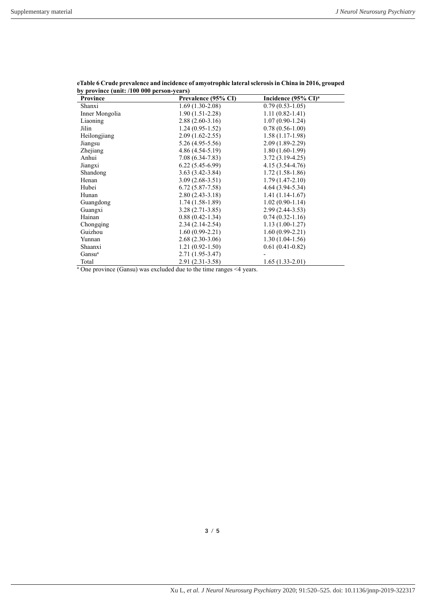| Province                                                                        | Prevalence (95% CI) | Incidence $(95\% \text{ CI})^{\text{a}}$ |
|---------------------------------------------------------------------------------|---------------------|------------------------------------------|
| Shanxi                                                                          | $1.69(1.30-2.08)$   | $0.79(0.53-1.05)$                        |
| Inner Mongolia                                                                  | $1.90(1.51-2.28)$   | $1.11(0.82 - 1.41)$                      |
| Liaoning                                                                        | $2.88(2.60-3.16)$   | $1.07(0.90-1.24)$                        |
| Jilin                                                                           | $1.24(0.95-1.52)$   | $0.78(0.56-1.00)$                        |
| Heilongjiang                                                                    | $2.09(1.62 - 2.55)$ | $1.58(1.17-1.98)$                        |
| Jiangsu                                                                         | $5.26(4.95-5.56)$   | $2.09(1.89-2.29)$                        |
| Zhejiang                                                                        | $4.86(4.54-5.19)$   | $1.80(1.60-1.99)$                        |
| Anhui                                                                           | $7.08(6.34-7.83)$   | $3.72(3.19-4.25)$                        |
| Jiangxi                                                                         | $6.22(5.45-6.99)$   | $4.15(3.54 - 4.76)$                      |
| Shandong                                                                        | $3.63(3.42 - 3.84)$ | $1.72(1.58-1.86)$                        |
| Henan                                                                           | $3.09(2.68-3.51)$   | $1.79(1.47-2.10)$                        |
| Hubei                                                                           | $6.72(5.87-7.58)$   | $4.64(3.94-5.34)$                        |
| Hunan                                                                           | $2.80(2.43-3.18)$   | $1.41(1.14-1.67)$                        |
| Guangdong                                                                       | $1.74(1.58-1.89)$   | $1.02(0.90-1.14)$                        |
| Guangxi                                                                         | $3.28(2.71-3.85)$   | $2.99(2.44-3.53)$                        |
| Hainan                                                                          | $0.88(0.42 - 1.34)$ | $0.74(0.32-1.16)$                        |
| Chongqing                                                                       | $2.34(2.14-2.54)$   | $1.13(1.00-1.27)$                        |
| Guizhou                                                                         | $1.60(0.99-2.21)$   | $1.60(0.99-2.21)$                        |
| Yunnan                                                                          | $2.68(2.30-3.06)$   | $1.30(1.04-1.56)$                        |
| Shaanxi                                                                         | $1.21(0.92 - 1.50)$ | $0.61(0.41-0.82)$                        |
| Gansu <sup>a</sup>                                                              | $2.71(1.95-3.47)$   |                                          |
| Total                                                                           | 2.91 (2.31-3.58)    | $1.65(1.33-2.01)$                        |
| <sup>a</sup> One province (Gansu) was excluded due to the time ranges <4 years. |                     |                                          |

**eTable 6 Crude prevalence and incidence of amyotrophic lateral sclerosis in China in 2016, grouped by province (unit: /100 000 person-years)**

**3** / **5**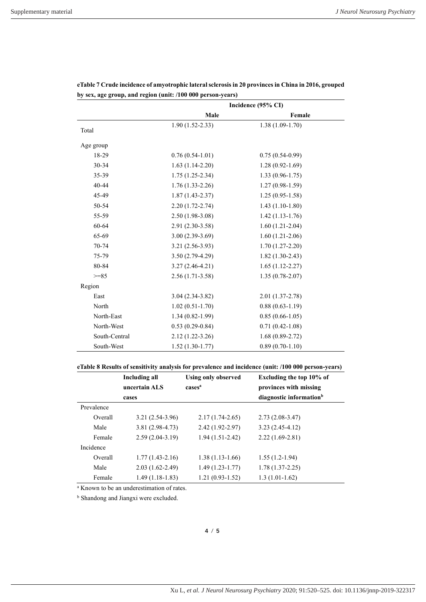|               | Incidence (95% CI)  |                     |  |
|---------------|---------------------|---------------------|--|
|               | Male                | Female              |  |
| Total         | $1.90(1.52 - 2.33)$ | $1.38(1.09-1.70)$   |  |
|               |                     |                     |  |
| Age group     |                     |                     |  |
| 18-29         | $0.76(0.54-1.01)$   | $0.75(0.54-0.99)$   |  |
| 30-34         | $1.63(1.14-2.20)$   | $1.28(0.92 - 1.69)$ |  |
| 35-39         | $1.75(1.25-2.34)$   | $1.33(0.96 - 1.75)$ |  |
| 40-44         | $1.76(1.33-2.26)$   | $1.27(0.98-1.59)$   |  |
| 45-49         | $1.87(1.43 - 2.37)$ | $1.25(0.95-1.58)$   |  |
| 50-54         | $2.20(1.72 - 2.74)$ | $1.43(1.10-1.80)$   |  |
| 55-59         | $2.50(1.98-3.08)$   | $1.42(1.13-1.76)$   |  |
| 60-64         | $2.91(2.30-3.58)$   | $1.60(1.21-2.04)$   |  |
| 65-69         | $3.00(2.39-3.69)$   | $1.60(1.21-2.06)$   |  |
| $70 - 74$     | $3.21(2.56-3.93)$   | $1.70(1.27-2.20)$   |  |
| 75-79         | $3.50(2.79-4.29)$   | $1.82(1.30-2.43)$   |  |
| 80-84         | $3.27(2.46-4.21)$   | $1.65(1.12-2.27)$   |  |
| $>=85$        | $2.56(1.71-3.58)$   | $1.35(0.78-2.07)$   |  |
| Region        |                     |                     |  |
| East          | $3.04(2.34-3.82)$   | $2.01(1.37-2.78)$   |  |
| North         | $1.02(0.51-1.70)$   | $0.88(0.63 - 1.19)$ |  |
| North-East    | $1.34(0.82 - 1.99)$ | $0.85(0.66-1.05)$   |  |
| North-West    | $0.53(0.29-0.84)$   | $0.71(0.42 - 1.08)$ |  |
| South-Central | $2.12(1.22 - 3.26)$ | $1.68(0.89-2.72)$   |  |
| South-West    | $1.52(1.30-1.77)$   | $0.89(0.70-1.10)$   |  |

**eTable 7 Crude incidence of amyotrophic lateral sclerosis in 20 provinces in China in 2016, grouped by sex, age group, and region (unit: /100 000 person-years)**

**eTable 8 Results of sensitivity analysis for prevalence and incidence (unit: /100 000 person-years)**

|            | Including all<br>uncertain ALS | <b>Using only observed</b><br>cases <sup>a</sup> | Excluding the top 10% of<br>provinces with missing |
|------------|--------------------------------|--------------------------------------------------|----------------------------------------------------|
|            | cases                          |                                                  | diagnostic information <sup>b</sup>                |
| Prevalence |                                |                                                  |                                                    |
| Overall    | $3.21(2.54-3.96)$              | $2.17(1.74-2.65)$                                | $2.73(2.08-3.47)$                                  |
| Male       | $3.81(2.98-4.73)$              | $2.42(1.92 - 2.97)$                              | $3.23(2.45-4.12)$                                  |
| Female     | $2.59(2.04-3.19)$              | $1.94(1.51-2.42)$                                | $2.22(1.69-2.81)$                                  |
| Incidence  |                                |                                                  |                                                    |
| Overall    | $1.77(1.43-2.16)$              | $1.38(1.13-1.66)$                                | $1.55(1.2-1.94)$                                   |
| Male       | $2.03(1.62 - 2.49)$            | $1.49(1.23-1.77)$                                | $1.78(1.37-2.25)$                                  |
| Female     | $1.49(1.18-1.83)$              | $1.21(0.93-1.52)$                                | $1.3(1.01-1.62)$                                   |

a Known to be an underestimation of rates.

**b** Shandong and Jiangxi were excluded.